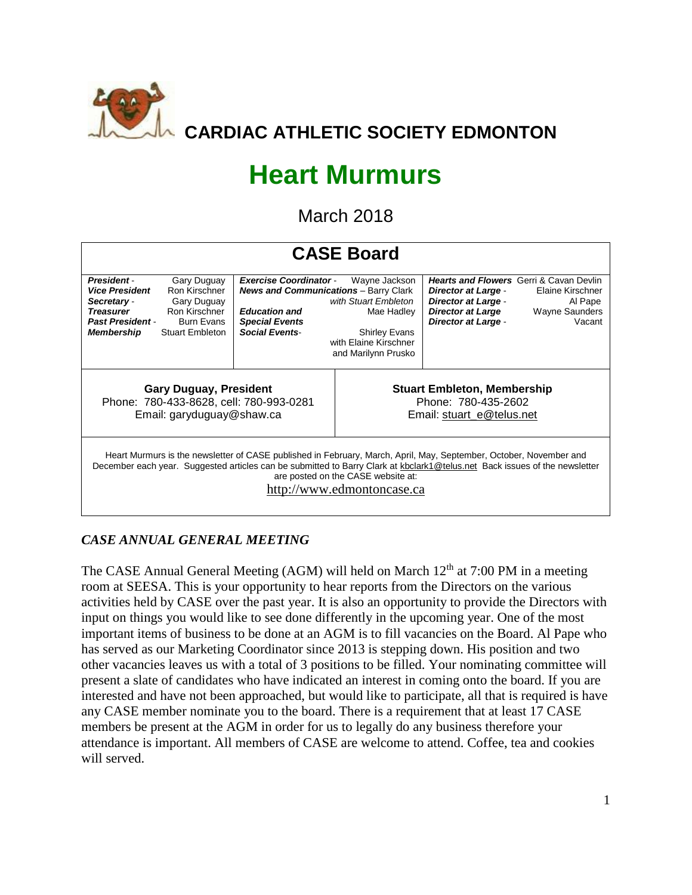

# **Heart Murmurs**

March 2018

| <b>CASE Board</b>                                                                                                                                                                                                                                                                                                    |                                                                                                      |                                                                                                                                                         |                                                                                                                             |                                                                                                                    |                                                                                                                  |  |  |  |  |  |
|----------------------------------------------------------------------------------------------------------------------------------------------------------------------------------------------------------------------------------------------------------------------------------------------------------------------|------------------------------------------------------------------------------------------------------|---------------------------------------------------------------------------------------------------------------------------------------------------------|-----------------------------------------------------------------------------------------------------------------------------|--------------------------------------------------------------------------------------------------------------------|------------------------------------------------------------------------------------------------------------------|--|--|--|--|--|
| <b>President</b><br><b>Vice President</b><br>Secretary -<br><b>Treasurer</b><br><b>Past President -</b><br><b>Membership</b>                                                                                                                                                                                         | Gary Duguay<br>Ron Kirschner<br>Gary Duguay<br>Ron Kirschner<br>Burn Evans<br><b>Stuart Embleton</b> | <b>Exercise Coordinator -</b><br><b>News and Communications</b> - Barry Clark<br><b>Education and</b><br><b>Special Events</b><br><b>Social Events-</b> | Wayne Jackson<br>with Stuart Embleton<br>Mae Hadley<br><b>Shirley Evans</b><br>with Elaine Kirschner<br>and Marilynn Prusko | <b>Director at Large -</b><br><b>Director at Large -</b><br><b>Director at Large</b><br><b>Director at Large -</b> | <b>Hearts and Flowers</b> Gerri & Cavan Devlin<br>Elaine Kirschner<br>Al Pape<br><b>Wayne Saunders</b><br>Vacant |  |  |  |  |  |
| <b>Gary Duguay, President</b><br>Phone: 780-433-8628, cell: 780-993-0281<br>Email: garyduguay@shaw.ca                                                                                                                                                                                                                |                                                                                                      |                                                                                                                                                         | <b>Stuart Embleton, Membership</b><br>Phone: 780-435-2602<br>Email: stuart e@telus.net                                      |                                                                                                                    |                                                                                                                  |  |  |  |  |  |
| Heart Murmurs is the newsletter of CASE published in February, March, April, May, September, October, November and<br>December each year. Suggested articles can be submitted to Barry Clark at kbclark1@telus.net Back issues of the newsletter<br>are posted on the CASE website at:<br>nttp://www.edmontoncase.ca |                                                                                                      |                                                                                                                                                         |                                                                                                                             |                                                                                                                    |                                                                                                                  |  |  |  |  |  |

## *CASE ANNUAL GENERAL MEETING*

The CASE Annual General Meeting (AGM) will held on March 12<sup>th</sup> at 7:00 PM in a meeting room at SEESA. This is your opportunity to hear reports from the Directors on the various activities held by CASE over the past year. It is also an opportunity to provide the Directors with input on things you would like to see done differently in the upcoming year. One of the most important items of business to be done at an AGM is to fill vacancies on the Board. Al Pape who has served as our Marketing Coordinator since 2013 is stepping down. His position and two other vacancies leaves us with a total of 3 positions to be filled. Your nominating committee will present a slate of candidates who have indicated an interest in coming onto the board. If you are interested and have not been approached, but would like to participate, all that is required is have any CASE member nominate you to the board. There is a requirement that at least 17 CASE members be present at the AGM in order for us to legally do any business therefore your attendance is important. All members of CASE are welcome to attend. Coffee, tea and cookies will served.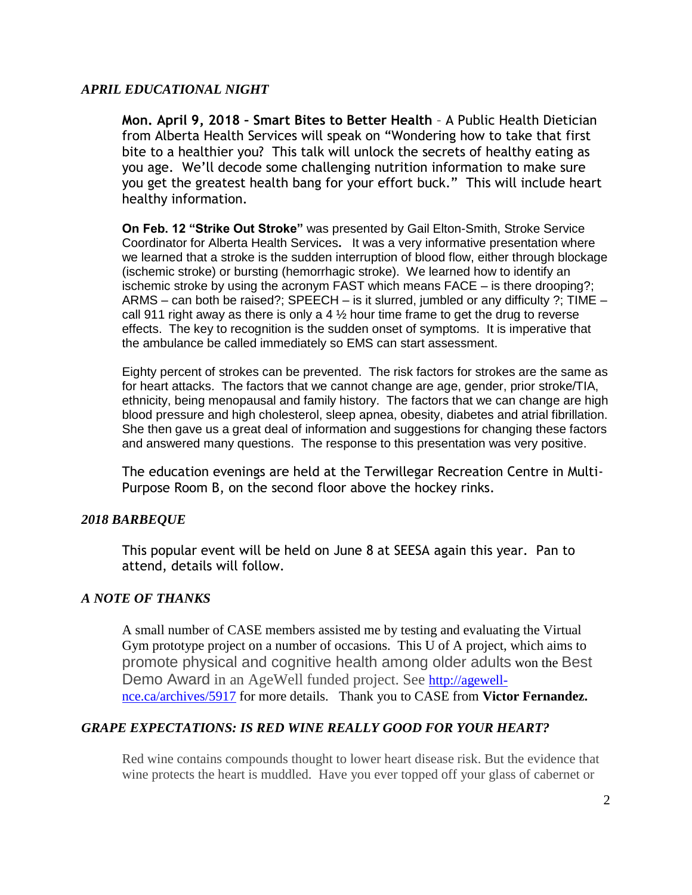#### *APRIL EDUCATIONAL NIGHT*

**Mon. April 9, 2018 – Smart Bites to Better Health** – A Public Health Dietician from Alberta Health Services will speak on "Wondering how to take that first bite to a healthier you? This talk will unlock the secrets of healthy eating as you age. We'll decode some challenging nutrition information to make sure you get the greatest health bang for your effort buck." This will include heart healthy information.

**On Feb. 12 "Strike Out Stroke"** was presented by Gail Elton-Smith, Stroke Service Coordinator for Alberta Health Services**.** It was a very informative presentation where we learned that a stroke is the sudden interruption of blood flow, either through blockage (ischemic stroke) or bursting (hemorrhagic stroke). We learned how to identify an ischemic stroke by using the acronym FAST which means FACE – is there drooping?; ARMS – can both be raised?; SPEECH – is it slurred, jumbled or any difficulty ?; TIME – call 911 right away as there is only a 4  $\frac{1}{2}$  hour time frame to get the drug to reverse effects. The key to recognition is the sudden onset of symptoms. It is imperative that the ambulance be called immediately so EMS can start assessment.

Eighty percent of strokes can be prevented. The risk factors for strokes are the same as for heart attacks. The factors that we cannot change are age, gender, prior stroke/TIA, ethnicity, being menopausal and family history. The factors that we can change are high blood pressure and high cholesterol, sleep apnea, obesity, diabetes and atrial fibrillation. She then gave us a great deal of information and suggestions for changing these factors and answered many questions. The response to this presentation was very positive.

The education evenings are held at the Terwillegar Recreation Centre in Multi-Purpose Room B, on the second floor above the hockey rinks.

#### *2018 BARBEQUE*

This popular event will be held on June 8 at SEESA again this year. Pan to attend, details will follow.

#### *A NOTE OF THANKS*

A small number of CASE members assisted me by testing and evaluating the Virtual Gym prototype project on a number of occasions. This U of A project, which aims to promote physical and cognitive health among older adults won the Best Demo Award in an AgeWell funded project. See [http://agewell](http://agewell-nce.ca/archives/5917)[nce.ca/archives/5917](http://agewell-nce.ca/archives/5917) for more details. Thank you to CASE from **Victor Fernandez.**

#### *GRAPE EXPECTATIONS: IS RED WINE REALLY GOOD FOR YOUR HEART?*

Red wine contains compounds thought to lower heart disease risk. But the evidence that wine protects the heart is muddled. Have you ever topped off your glass of cabernet or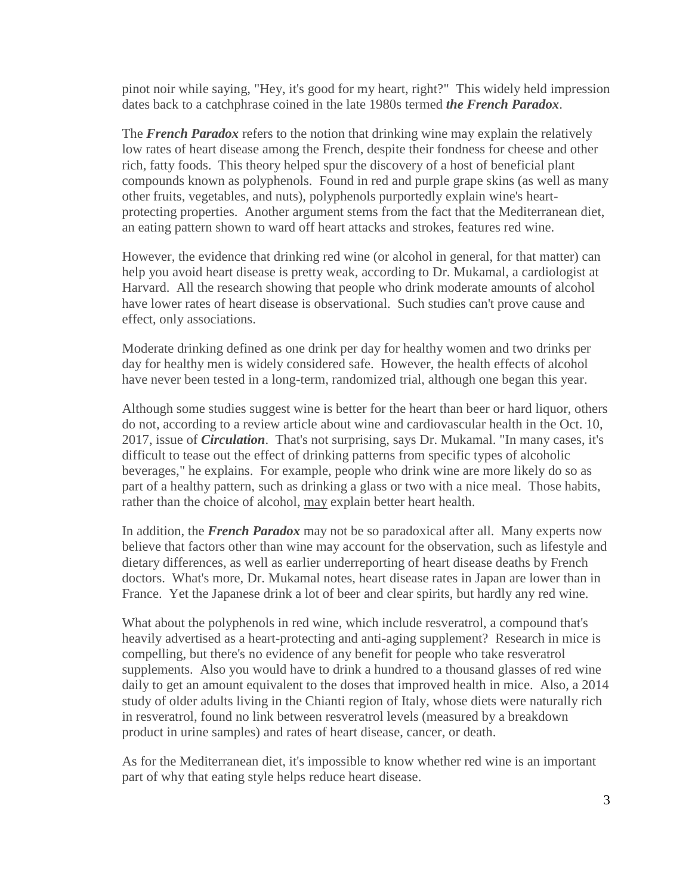pinot noir while saying, "Hey, it's good for my heart, right?" This widely held impression dates back to a catchphrase coined in the late 1980s termed *the French Paradox*.

The *French Paradox* refers to the notion that drinking wine may explain the relatively low rates of heart disease among the French, despite their fondness for cheese and other rich, fatty foods. This theory helped spur the discovery of a host of beneficial plant compounds known as polyphenols. Found in red and purple grape skins (as well as many other fruits, vegetables, and nuts), polyphenols purportedly explain wine's heartprotecting properties. Another argument stems from the fact that the Mediterranean diet, an eating pattern shown to ward off heart attacks and strokes, features red wine.

However, the evidence that drinking red wine (or alcohol in general, for that matter) can help you avoid heart disease is pretty weak, according to Dr. Mukamal, a cardiologist at Harvard. All the research showing that people who drink moderate amounts of alcohol have lower rates of heart disease is observational. Such studies can't prove cause and effect, only associations.

Moderate drinking defined as one drink per day for healthy women and two drinks per day for healthy men is widely considered safe. However, the health effects of alcohol have never been tested in a long-term, randomized trial, although one began this year.

Although some studies suggest wine is better for the heart than beer or hard liquor, others do not, according to a review article about wine and cardiovascular health in the Oct. 10, 2017, issue of *Circulation*. That's not surprising, says Dr. Mukamal. "In many cases, it's difficult to tease out the effect of drinking patterns from specific types of alcoholic beverages," he explains. For example, people who drink wine are more likely do so as part of a healthy pattern, such as drinking a glass or two with a nice meal. Those habits, rather than the choice of alcohol, may explain better heart health.

In addition, the *French Paradox* may not be so paradoxical after all. Many experts now believe that factors other than wine may account for the observation, such as lifestyle and dietary differences, as well as earlier underreporting of heart disease deaths by French doctors. What's more, Dr. Mukamal notes, heart disease rates in Japan are lower than in France. Yet the Japanese drink a lot of beer and clear spirits, but hardly any red wine.

What about the polyphenols in red wine, which include resveratrol, a compound that's heavily advertised as a heart-protecting and anti-aging supplement? Research in mice is compelling, but there's no evidence of any benefit for people who take resveratrol supplements. Also you would have to drink a hundred to a thousand glasses of red wine daily to get an amount equivalent to the doses that improved health in mice. Also, a 2014 study of older adults living in the Chianti region of Italy, whose diets were naturally rich in resveratrol, found no link between resveratrol levels (measured by a breakdown product in urine samples) and rates of heart disease, cancer, or death.

As for the Mediterranean diet, it's impossible to know whether red wine is an important part of why that eating style helps reduce heart disease.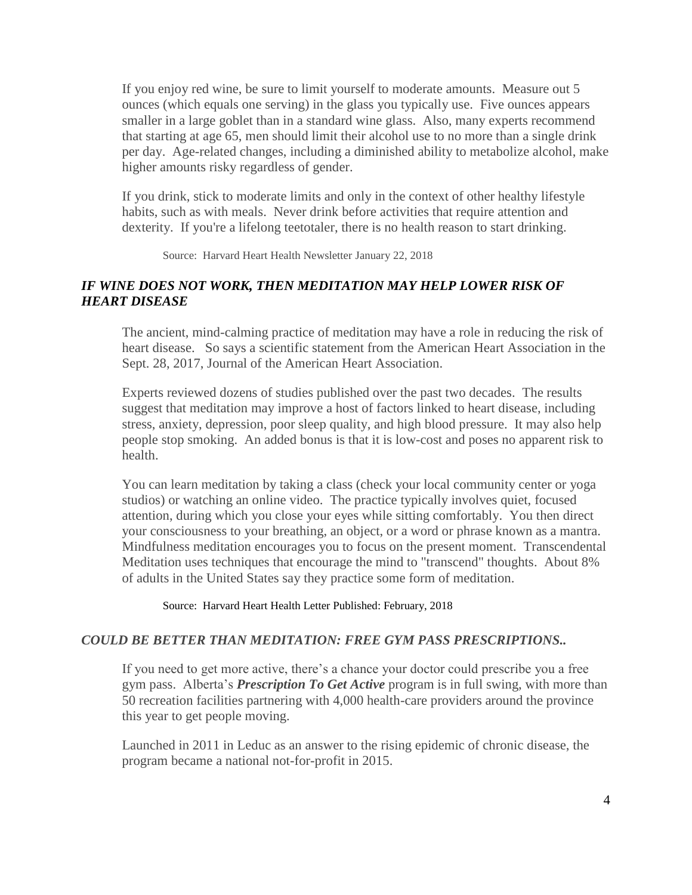If you enjoy red wine, be sure to limit yourself to moderate amounts. Measure out 5 ounces (which equals one serving) in the glass you typically use. Five ounces appears smaller in a large goblet than in a standard wine glass. Also, many experts recommend that starting at age 65, men should limit their alcohol use to no more than a single drink per day. Age-related changes, including a diminished ability to metabolize alcohol, make higher amounts risky regardless of gender.

If you drink, stick to moderate limits and only in the context of other healthy lifestyle habits, such as with meals. Never drink before activities that require attention and dexterity. If you're a lifelong teetotaler, there is no health reason to start drinking.

Source: Harvard Heart Health Newsletter January 22, 2018

### *IF WINE DOES NOT WORK, THEN MEDITATION MAY HELP LOWER RISK OF HEART DISEASE*

The ancient, mind-calming practice of meditation may have a role in reducing the risk of heart disease. So says a scientific statement from the American Heart Association in the Sept. 28, 2017, Journal of the American Heart Association.

Experts reviewed dozens of studies published over the past two decades. The results suggest that meditation may improve a host of factors linked to heart disease, including stress, anxiety, depression, poor sleep quality, and high blood pressure. It may also help people stop smoking. An added bonus is that it is low-cost and poses no apparent risk to health.

You can learn meditation by taking a class (check your local community center or yoga studios) or watching an online video. The practice typically involves quiet, focused attention, during which you close your eyes while sitting comfortably. You then direct your consciousness to your breathing, an object, or a word or phrase known as a mantra. Mindfulness meditation encourages you to focus on the present moment. Transcendental Meditation uses techniques that encourage the mind to "transcend" thoughts. About 8% of adults in the United States say they practice some form of meditation.

Source: Harvard Heart Health Letter Published: February, 2018

#### *COULD BE BETTER THAN MEDITATION: FREE GYM PASS PRESCRIPTIONS..*

If you need to get more active, there's a chance your doctor could prescribe you a free gym pass. Alberta's *Prescription To Get Active* program is in full swing, with more than 50 recreation facilities partnering with 4,000 health-care providers around the province this year to get people moving.

Launched in 2011 in Leduc as an answer to the rising epidemic of chronic disease, the program became a national not-for-profit in 2015.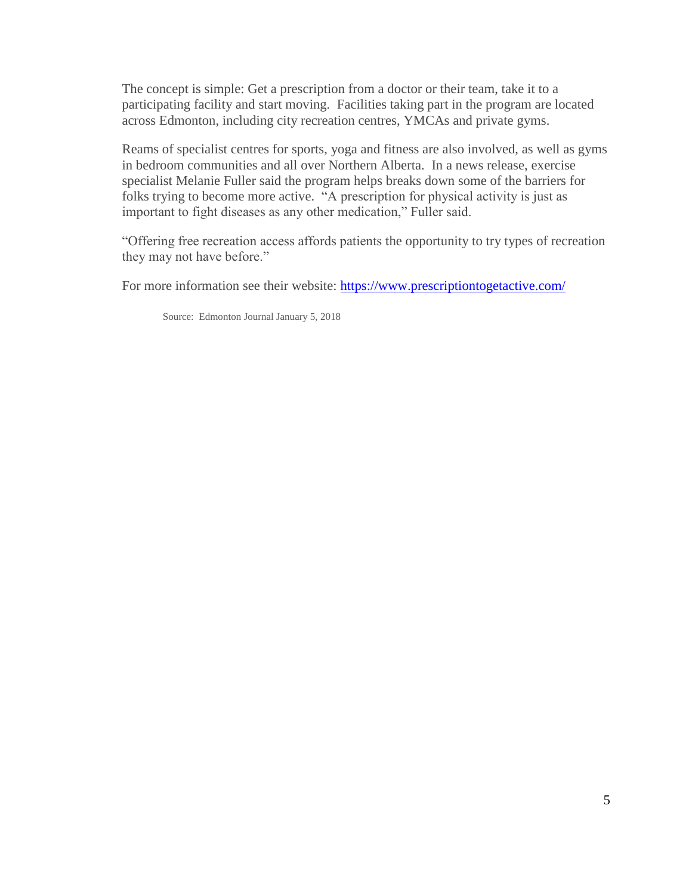The concept is simple: Get a prescription from a doctor or their team, take it to a participating facility and start moving. Facilities taking part in the program are located across Edmonton, including city recreation centres, YMCAs and private gyms.

Reams of specialist centres for sports, yoga and fitness are also involved, as well as gyms in bedroom communities and all over Northern Alberta. In a news release, exercise specialist Melanie Fuller said the program helps breaks down some of the barriers for folks trying to become more active. "A prescription for physical activity is just as important to fight diseases as any other medication," Fuller said.

"Offering free recreation access affords patients the opportunity to try types of recreation they may not have before."

For more information see their website:<https://www.prescriptiontogetactive.com/>

Source: Edmonton Journal January 5, 2018